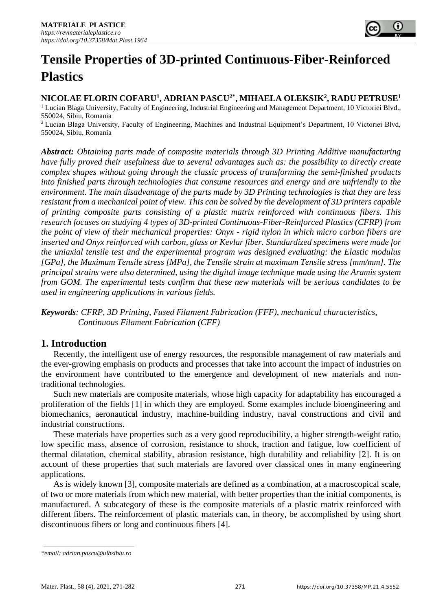# **Tensile Properties of 3D-printed Continuous-Fiber-Reinforced Plastics**

**NICOLAE FLORIN COFARU<sup>1</sup> , ADRIAN PASCU2\*, MIHAELA OLEKSIK<sup>2</sup> , RADU PETRUSE<sup>1</sup>** <sup>1</sup> Lucian Blaga University, Faculty of Engineering, Industrial Engineering and Management Department, 10 Victoriei Blvd., 550024, Sibiu, Romania

<sup>2</sup>Lucian Blaga University, Faculty of Engineering, Machines and Industrial Equipment's Department, 10 Victoriei Blvd, 550024, Sibiu, Romania

*Abstract: Obtaining parts made of composite materials through 3D Printing Additive manufacturing have fully proved their usefulness due to several advantages such as: the possibility to directly create complex shapes without going through the classic process of transforming the semi-finished products into finished parts through technologies that consume resources and energy and are unfriendly to the environment. The main disadvantage of the parts made by 3D Printing technologies is that they are less resistant from a mechanical point of view. This can be solved by the development of 3D printers capable of printing composite parts consisting of a plastic matrix reinforced with continuous fibers. This research focuses on studying 4 types of 3D-printed Continuous-Fiber-Reinforced Plastics (CFRP) from the point of view of their mechanical properties: Onyx - rigid nylon in which micro carbon fibers are inserted and Onyx reinforced with carbon, glass or Kevlar fiber. Standardized specimens were made for the uniaxial tensile test and the experimental program was designed evaluating: the Elastic modulus [GPa], the Maximum Tensile stress [MPa], the Tensile strain at maximum Tensile stress [mm/mm]. The principal strains were also determined, using the digital image technique made using the Aramis system from GOM. The experimental tests confirm that these new materials will be serious candidates to be used in engineering applications in various fields.*

*Keywords: CFRP, 3D Printing, Fused Filament Fabrication (FFF), mechanical characteristics, Continuous Filament Fabrication (CFF)*

# **1. Introduction**

Recently, the intelligent use of energy resources, the responsible management of raw materials and the ever-growing emphasis on products and processes that take into account the impact of industries on the environment have contributed to the emergence and development of new materials and nontraditional technologies.

Such new materials are composite materials, whose high capacity for adaptability has encouraged a proliferation of the fields [1] in which they are employed. Some examples include bioengineering and biomechanics, aeronautical industry, machine-building industry, naval constructions and civil and industrial constructions.

These materials have properties such as a very good reproducibility, a higher strength-weight ratio, low specific mass, absence of corrosion, resistance to shock, traction and fatigue, low coefficient of thermal dilatation, chemical stability, abrasion resistance, high durability and reliability [2]. It is on account of these properties that such materials are favored over classical ones in many engineering applications.

As is widely known [3], composite materials are defined as a combination, at a macroscopical scale, of two or more materials from which new material, with better properties than the initial components, is manufactured. A subcategory of these is the composite materials of a plastic matrix reinforced with different fibers. The reinforcement of plastic materials can, in theory, be accomplished by using short discontinuous fibers or long and continuous fibers [4].

*<sup>\*</sup>email[: adrian.pascu@ulbsibiu.ro](mailto:adrian.pascu@ulbsibiu.ro)*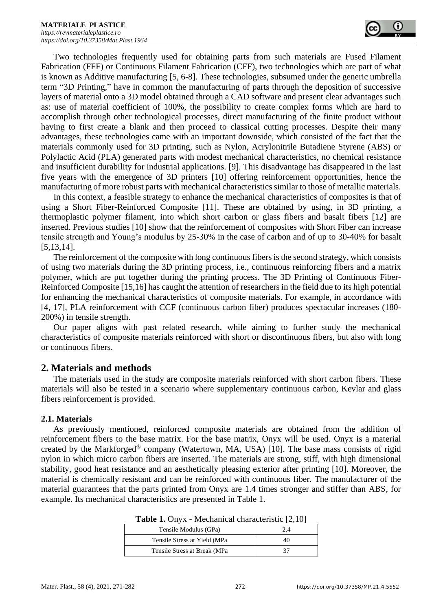Two technologies frequently used for obtaining parts from such materials are Fused Filament Fabrication (FFF) or Continuous Filament Fabrication (CFF), two technologies which are part of what is known as Additive manufacturing [5, 6-8]. These technologies, subsumed under the generic umbrella term "3D Printing," have in common the manufacturing of parts through the deposition of successive layers of material onto a 3D model obtained through a CAD software and present clear advantages such as: use of material coefficient of 100%, the possibility to create complex forms which are hard to accomplish through other technological processes, direct manufacturing of the finite product without having to first create a blank and then proceed to classical cutting processes. Despite their many advantages, these technologies came with an important downside, which consisted of the fact that the materials commonly used for 3D printing, such as Nylon, Acrylonitrile Butadiene Styrene (ABS) or Polylactic Acid (PLA) generated parts with modest mechanical characteristics, no chemical resistance and insufficient durability for industrial applications. [9]. This disadvantage has disappeared in the last five years with the emergence of 3D printers [10] offering reinforcement opportunities, hence the manufacturing of more robust parts with mechanical characteristics similar to those of metallic materials.

In this context, a feasible strategy to enhance the mechanical characteristics of composites is that of using a Short Fiber-Reinforced Composite [11]. These are obtained by using, in 3D printing, a thermoplastic polymer filament, into which short carbon or glass fibers and basalt fibers [12] are inserted. Previous studies [10] show that the reinforcement of composites with Short Fiber can increase tensile strength and Young's modulus by 25-30% in the case of carbon and of up to 30-40% for basalt [5,13,14].

The reinforcement of the composite with long continuous fibers is the second strategy, which consists of using two materials during the 3D printing process, i.e., continuous reinforcing fibers and a matrix polymer, which are put together during the printing process. The 3D Printing of Continuous Fiber-Reinforced Composite [15,16] has caught the attention of researchers in the field due to its high potential for enhancing the mechanical characteristics of composite materials. For example, in accordance with [4, 17], PLA reinforcement with CCF (continuous carbon fiber) produces spectacular increases (180- 200%) in tensile strength.

Our paper aligns with past related research, while aiming to further study the mechanical characteristics of composite materials reinforced with short or discontinuous fibers, but also with long or continuous fibers.

## **2. Materials and methods**

The materials used in the study are composite materials reinforced with short carbon fibers. These materials will also be tested in a scenario where supplementary continuous carbon, Kevlar and glass fibers reinforcement is provided.

## **2.1. Materials**

As previously mentioned, reinforced composite materials are obtained from the addition of reinforcement fibers to the base matrix. For the base matrix, Onyx will be used. Onyx is a material created by the Markforged® company (Watertown, MA, USA) [10]. The base mass consists of rigid nylon in which micro carbon fibers are inserted. The materials are strong, stiff, with high dimensional stability, good heat resistance and an aesthetically pleasing exterior after printing [10]. Moreover, the material is chemically resistant and can be reinforced with continuous fiber. The manufacturer of the material guarantees that the parts printed from Onyx are 1.4 times stronger and stiffer than ABS, for example. Its mechanical characteristics are presented in Table 1.

| Tensile Modulus (GPa)         | 24 |
|-------------------------------|----|
| Tensile Stress at Yield (MPa  | 40 |
| Tensile Stress at Break (MPa) |    |

**Table 1.** Onyx - Mechanical characteristic [2,10]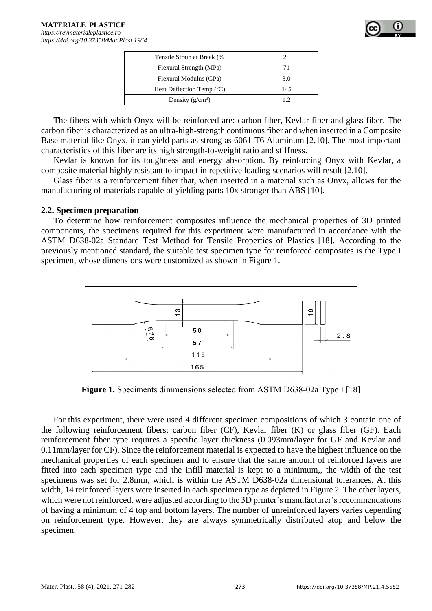

| Tensile Strain at Break (%           | 25  |
|--------------------------------------|-----|
| Flexural Strength (MPa)              |     |
| Flexural Modulus (GPa)               | 3.0 |
| Heat Deflection Temp $({}^{\circ}C)$ | 145 |
| Density $(g/cm^3)$                   |     |

The fibers with which Onyx will be reinforced are: carbon fiber, Kevlar fiber and glass fiber. The carbon fiber is characterized as an ultra-high-strength continuous fiber and when inserted in a Composite Base material like Onyx, it can yield parts as strong as 6061-T6 Aluminum [2,10]. The most important characteristics of this fiber are its high strength-to-weight ratio and stiffness.

Kevlar is known for its toughness and energy absorption. By reinforcing Onyx with Kevlar, a composite material highly resistant to impact in repetitive loading scenarios will result [2,10].

Glass fiber is a reinforcement fiber that, when inserted in a material such as Onyx, allows for the manufacturing of materials capable of yielding parts 10x stronger than ABS [10].

#### **2.2. Specimen preparation**

To determine how reinforcement composites influence the mechanical properties of 3D printed components, the specimens required for this experiment were manufactured in accordance with the ASTM D638-02a Standard Test Method for Tensile Properties of Plastics [18]. According to the previously mentioned standard, the suitable test specimen type for reinforced composites is the Type I specimen, whose dimensions were customized as shown in Figure 1.



**Figure 1.** Speciments dimmensions selected from ASTM D638-02a Type I [18]

For this experiment, there were used 4 different specimen compositions of which 3 contain one of the following reinforcement fibers: carbon fiber (CF), Kevlar fiber (K) or glass fiber (GF). Each reinforcement fiber type requires a specific layer thickness (0.093mm/layer for GF and Kevlar and 0.11mm/layer for CF). Since the reinforcement material is expected to have the highest influence on the mechanical properties of each specimen and to ensure that the same amount of reinforced layers are fitted into each specimen type and the infill material is kept to a minimum,, the width of the test specimens was set for 2.8mm, which is within the ASTM D638-02a dimensional tolerances. At this width, 14 reinforced layers were inserted in each specimen type as depicted in Figure 2. The other layers, which were not reinforced, were adjusted according to the 3D printer's manufacturer's recommendations of having a minimum of 4 top and bottom layers. The number of unreinforced layers varies depending on reinforcement type. However, they are always symmetrically distributed atop and below the specimen.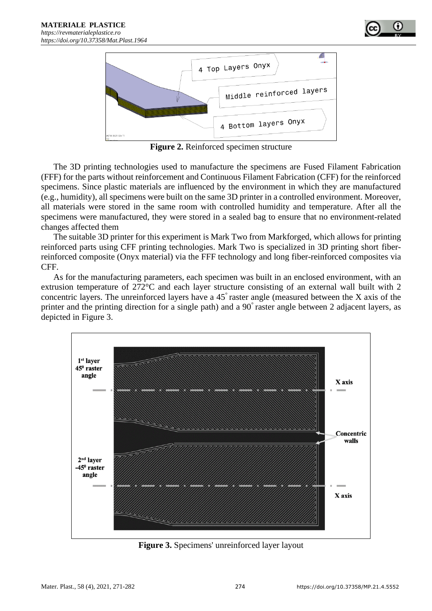



**Figure 2.** Reinforced specimen structure

The 3D printing technologies used to manufacture the specimens are Fused Filament Fabrication (FFF) for the parts without reinforcement and Continuous Filament Fabrication (CFF) for the reinforced specimens. Since plastic materials are influenced by the environment in which they are manufactured (e.g., humidity), all specimens were built on the same 3D printer in a controlled environment. Moreover, all materials were stored in the same room with controlled humidity and temperature. After all the specimens were manufactured, they were stored in a sealed bag to ensure that no environment-related changes affected them

The suitable 3D printer for this experiment is Mark Two from Markforged, which allows for printing reinforced parts using CFF printing technologies. Mark Two is specialized in 3D printing short fiberreinforced composite (Onyx material) via the FFF technology and long fiber-reinforced composites via CFF.

As for the manufacturing parameters, each specimen was built in an enclosed environment, with an extrusion temperature of 272°C and each layer structure consisting of an external wall built with 2 concentric layers. The unreinforced layers have a 45° raster angle (measured between the X axis of the printer and the printing direction for a single path) and a 90° raster angle between 2 adjacent layers, as depicted in Figure 3.



**Figure 3.** Specimens' unreinforced layer layout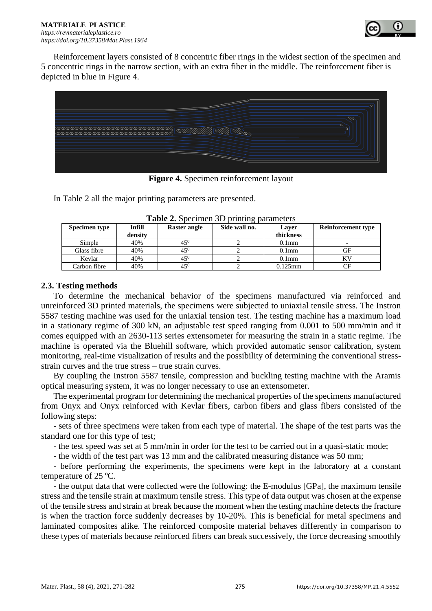

Reinforcement layers consisted of 8 concentric fiber rings in the widest section of the specimen and 5 concentric rings in the narrow section, with an extra fiber in the middle. The reinforcement fiber is depicted in blue in Figure 4.



**Figure 4.** Specimen reinforcement layout

In Table 2 all the major printing parameters are presented.

| <b>THE 2018 THE SET OF SET AND SET AND SET AND SET OF SET AND IN A SET OF SET OF SET OF SET OF SET OF SET OF SET OF SET OF SET OF SET OF SET OF SET OF SET OF SET OF SET OF SET OF SET OF SET OF SET OF SET OF SET OF SET OF SE</b> |               |              |               |            |                           |
|-------------------------------------------------------------------------------------------------------------------------------------------------------------------------------------------------------------------------------------|---------------|--------------|---------------|------------|---------------------------|
| Specimen type                                                                                                                                                                                                                       | <b>Infill</b> | Raster angle | Side wall no. | Laver      | <b>Reinforcement type</b> |
|                                                                                                                                                                                                                                     | density       |              |               | thickness  |                           |
| Simple                                                                                                                                                                                                                              | 40%           | $45^{0}$     |               | $0.1$ mm   |                           |
| Glass fibre                                                                                                                                                                                                                         | 40%           | $45^0$       |               | $0.1$ mm   | GF                        |
| Kevlar                                                                                                                                                                                                                              | 40%           | $45^{0}$     |               | $0.1$ mm   |                           |
| Carbon fibre                                                                                                                                                                                                                        | 40%           | $45^{0}$     |               | $0.125$ mm | CF                        |

Table 2. Specimen 3D printing parameters

## **2.3. Testing methods**

To determine the mechanical behavior of the specimens manufactured via reinforced and unreinforced 3D printed materials, the specimens were subjected to uniaxial tensile stress. The Instron 5587 testing machine was used for the uniaxial tension test. The testing machine has a maximum load in a stationary regime of 300 kN, an adjustable test speed ranging from 0.001 to 500 mm/min and it comes equipped with an 2630-113 series extensometer for measuring the strain in a static regime. The machine is operated via the Bluehill software, which provided automatic sensor calibration, system monitoring, real-time visualization of results and the possibility of determining the conventional stressstrain curves and the true stress – true strain curves.

By coupling the Instron 5587 tensile, compression and buckling testing machine with the Aramis optical measuring system, it was no longer necessary to use an extensometer.

The experimental program for determining the mechanical properties of the specimens manufactured from Onyx and Onyx reinforced with Kevlar fibers, carbon fibers and glass fibers consisted of the following steps:

- sets of three specimens were taken from each type of material. The shape of the test parts was the standard one for this type of test;

- the test speed was set at 5 mm/min in order for the test to be carried out in a quasi-static mode;

- the width of the test part was 13 mm and the calibrated measuring distance was 50 mm;

- before performing the experiments, the specimens were kept in the laboratory at a constant temperature of 25 ºC.

- the output data that were collected were the following: the E-modulus [GPa], the maximum tensile stress and the tensile strain at maximum tensile stress. This type of data output was chosen at the expense of the tensile stress and strain at break because the moment when the testing machine detects the fracture is when the traction force suddenly decreases by 10-20%. This is beneficial for metal specimens and laminated composites alike. The reinforced composite material behaves differently in comparison to these types of materials because reinforced fibers can break successively, the force decreasing smoothly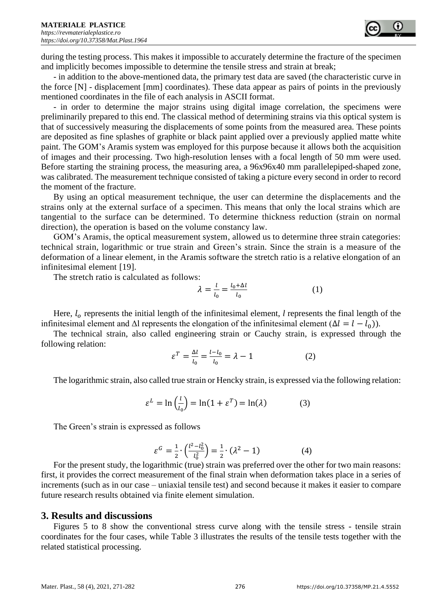during the testing process. This makes it impossible to accurately determine the fracture of the specimen and implicitly becomes impossible to determine the tensile stress and strain at break;

- in addition to the above-mentioned data, the primary test data are saved (the characteristic curve in the force [N] - displacement [mm] coordinates). These data appear as pairs of points in the previously mentioned coordinates in the file of each analysis in ASCII format.

- in order to determine the major strains using digital image correlation, the specimens were preliminarily prepared to this end. The classical method of determining strains via this optical system is that of successively measuring the displacements of some points from the measured area. These points are deposited as fine splashes of graphite or black paint applied over a previously applied matte white paint. The GOM's Aramis system was employed for this purpose because it allows both the acquisition of images and their processing. Two high-resolution lenses with a focal length of 50 mm were used. Before starting the straining process, the measuring area, a 96x96x40 mm parallelepiped-shaped zone, was calibrated. The measurement technique consisted of taking a picture every second in order to record the moment of the fracture.

By using an optical measurement technique, the user can determine the displacements and the strains only at the external surface of a specimen. This means that only the local strains which are tangential to the surface can be determined. To determine thickness reduction (strain on normal direction), the operation is based on the volume constancy law.

GOM's Aramis, the optical measurement system, allowed us to determine three strain categories: technical strain, logarithmic or true strain and Green's strain. Since the strain is a measure of the deformation of a linear element, in the Aramis software the stretch ratio is a relative elongation of an infinitesimal element [19].

The stretch ratio is calculated as follows:

$$
\lambda = \frac{l}{l_0} = \frac{l_0 + \Delta l}{l_0} \tag{1}
$$

Here,  $l_0$  represents the initial length of the infinitesimal element, *l* represents the final length of the infinitesimal element and Δl represents the elongation of the infinitesimal element  $(Δl = l - l<sub>0</sub>)$ ).

The technical strain, also called engineering strain or Cauchy strain, is expressed through the following relation:

$$
\varepsilon^T = \frac{\Delta l}{l_0} = \frac{l - l_0}{l_0} = \lambda - 1\tag{2}
$$

The logarithmic strain, also called true strain or Hencky strain, is expressed via the following relation:

$$
\varepsilon^{L} = \ln\left(\frac{l}{l_0}\right) = \ln(1 + \varepsilon^{T}) = \ln(\lambda)
$$
 (3)

The Green's strain is expressed as follows

$$
\varepsilon^{G} = \frac{1}{2} \cdot \left( \frac{l^{2} - l_{0}^{2}}{l_{0}^{2}} \right) = \frac{1}{2} \cdot (\lambda^{2} - 1) \tag{4}
$$

For the present study, the logarithmic (true) strain was preferred over the other for two main reasons: first, it provides the correct measurement of the final strain when deformation takes place in a series of increments (such as in our case – uniaxial tensile test) and second because it makes it easier to compare future research results obtained via finite element simulation.

## **3. Results and discussions**

Figures 5 to 8 show the conventional stress curve along with the tensile stress - tensile strain coordinates for the four cases, while Table 3 illustrates the results of the tensile tests together with the related statistical processing.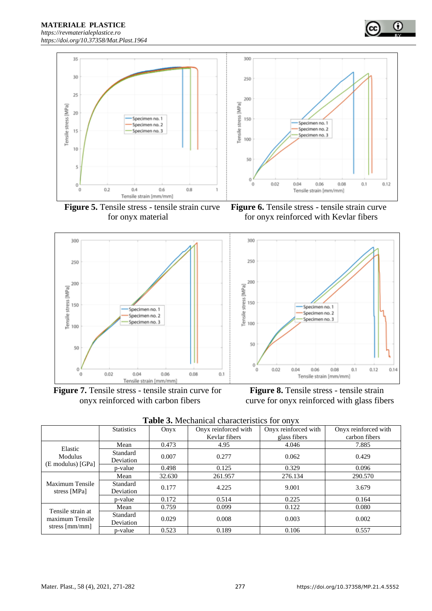

 **Figure 5.** Tensile stress - tensile strain curve **Figure 6.** Tensile stress - tensile strain curve



**Figure 7.** Tensile stress - tensile strain curve for **Figure 8.** Tensile stress - tensile strain

for onyx material for onyx reinforced with Kevlar fibers

 $\bf \omega$ 



onyx reinforced with carbon fibers curve for onyx reinforced with glass fibers

| Table 3. Mechanical characteristics for onyx |  |
|----------------------------------------------|--|
|----------------------------------------------|--|

|                                                                | <b>Statistics</b>     | Onyx   | Onyx reinforced with | Onyx reinforced with | Onyx reinforced with |
|----------------------------------------------------------------|-----------------------|--------|----------------------|----------------------|----------------------|
|                                                                |                       |        | Kevlar fibers        | glass fibers         | carbon fibers        |
| Elastic<br><b>Modulus</b><br>(E modulus) [GPa]                 | Mean                  | 0.473  | 4.95                 | 4.046                | 7.885                |
|                                                                | Standard<br>Deviation | 0.007  | 0.277                | 0.062                | 0.429                |
|                                                                | p-value               | 0.498  | 0.125                | 0.329                | 0.096                |
| Maximum Tensile<br>stress [MPa]                                | Mean                  | 32.630 | 261.957              | 276.134              | 290.570              |
|                                                                | Standard<br>Deviation | 0.177  | 4.225                | 9.001                | 3.679                |
|                                                                | p-value               | 0.172  | 0.514                | 0.225                | 0.164                |
| Tensile strain at<br>maximum Tensile<br>stress ${\rm [mm/mm]}$ | Mean                  | 0.759  | 0.099                | 0.122                | 0.080                |
|                                                                | Standard<br>Deviation | 0.029  | 0.008                | 0.003                | 0.002                |
|                                                                | p-value               | 0.523  | 0.189                | 0.106                | 0.557                |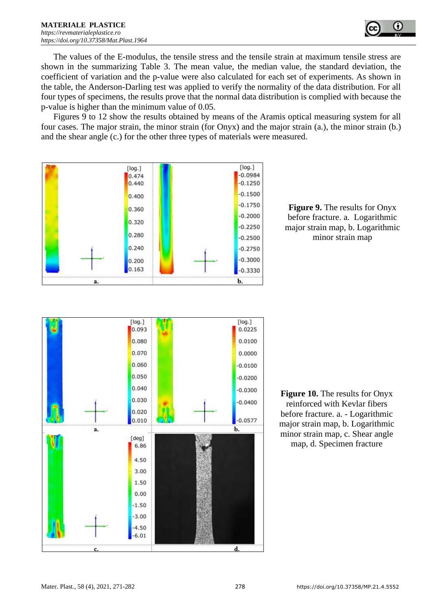

The values of the E-modulus, the tensile stress and the tensile strain at maximum tensile stress are shown in the summarizing Table 3. The mean value, the median value, the standard deviation, the coefficient of variation and the p-value were also calculated for each set of experiments. As shown in the table, the Anderson-Darling test was applied to verify the normality of the data distribution. For all four types of specimens, the results prove that the normal data distribution is complied with because the p-value is higher than the minimum value of 0.05.

Figures 9 to 12 show the results obtained by means of the Aramis optical measuring system for all four cases. The major strain, the minor strain (for Onyx) and the major strain (a.), the minor strain (b.) and the shear angle (c.) for the other three types of materials were measured.



**Figure 9.** The results for Onyx before fracture. a. Logarithmic major strain map, b. Logarithmic minor strain map



**Figure 10.** The results for Onyx reinforced with Kevlar fibers before fracture. a. - Logarithmic major strain map, b. Logarithmic minor strain map, c. Shear angle map, d. Specimen fracture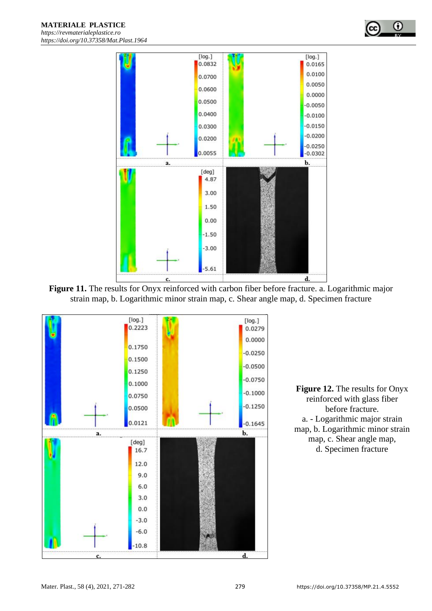





**Figure 12.** The results for Onyx reinforced with glass fiber before fracture. a. - Logarithmic major strain map, b. Logarithmic minor strain map, c. Shear angle map, d. Specimen fracture

٠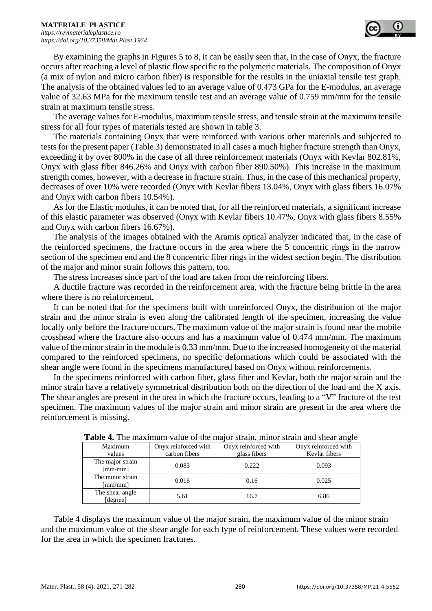

By examining the graphs in Figures 5 to 8, it can be easily seen that, in the case of Onyx, the fracture occurs after reaching a level of plastic flow specific to the polymeric materials. The composition of Onyx (a mix of nylon and micro carbon fiber) is responsible for the results in the uniaxial tensile test graph. The analysis of the obtained values led to an average value of 0.473 GPa for the E-modulus, an average value of 32.63 MPa for the maximum tensile test and an average value of 0.759 mm/mm for the tensile strain at maximum tensile stress.

The average values for E-modulus, maximum tensile stress, and tensile strain at the maximum tensile stress for all four types of materials tested are shown in table 3.

The materials containing Onyx that were reinforced with various other materials and subjected to tests for the present paper (Table 3) demonstrated in all cases a much higher fracture strength than Onyx, exceeding it by over 800% in the case of all three reinforcement materials (Onyx with Kevlar 802.81%, Onyx with glass fiber 846.26% and Onyx with carbon fiber 890.50%). This increase in the maximum strength comes, however, with a decrease in fracture strain. Thus, in the case of this mechanical property, decreases of over 10% were recorded (Onyx with Kevlar fibers 13.04%, Onyx with glass fibers 16.07% and Onyx with carbon fibers 10.54%).

As for the Elastic modulus, it can be noted that, for all the reinforced materials, a significant increase of this elastic parameter was observed (Onyx with Kevlar fibers 10.47%, Onyx with glass fibers 8.55% and Onyx with carbon fibers 16.67%).

The analysis of the images obtained with the Aramis optical analyzer indicated that, in the case of the reinforced specimens, the fracture occurs in the area where the 5 concentric rings in the narrow section of the specimen end and the 8 concentric fiber rings in the widest section begin. The distribution of the major and minor strain follows this pattern, too.

The stress increases since part of the load are taken from the reinforcing fibers.

A ductile fracture was recorded in the reinforcement area, with the fracture being brittle in the area where there is no reinforcement.

It can be noted that for the specimens built with unreinforced Onyx, the distribution of the major strain and the minor strain is even along the calibrated length of the specimen, increasing the value locally only before the fracture occurs. The maximum value of the major strain is found near the mobile crosshead where the fracture also occurs and has a maximum value of 0.474 mm/mm. The maximum value of the minor strain in the module is 0.33 mm/mm. Due to the increased homogeneity of the material compared to the reinforced specimens, no specific deformations which could be associated with the shear angle were found in the specimens manufactured based on Onyx without reinforcements.

In the specimens reinforced with carbon fiber, glass fiber and Kevlar, both the major strain and the minor strain have a relatively symmetrical distribution both on the direction of the load and the X axis. The shear angles are present in the area in which the fracture occurs, leading to a "V" fracture of the test specimen. The maximum values of the major strain and minor strain are present in the area where the reinforcement is missing.

| <b>Table 4.</b> The maximum value of the major strain, minor strain and shear angle |                      |                      |                      |  |
|-------------------------------------------------------------------------------------|----------------------|----------------------|----------------------|--|
| Maximum                                                                             | Onyx reinforced with | Onyx reinforced with | Onyx reinforced with |  |
| values                                                                              | carbon fibers        | glass fibers         | Kevlar fibers        |  |
| The major strain                                                                    | 0.083                | 0.222                | 0.093                |  |
| $\lceil$ mm/mm $\rceil$                                                             |                      |                      |                      |  |
| The minor strain<br>$\lceil$ mm/mm $\rceil$                                         | 0.016                | 0.16                 | 0.025                |  |
| The shear angle<br>[degree]                                                         | 5.61                 | 16.7                 | 6.86                 |  |

**Table 4.** The maximum value of the major strain, minor strain and shear angle

Table 4 displays the maximum value of the major strain, the maximum value of the minor strain and the maximum value of the shear angle for each type of reinforcement. These values were recorded for the area in which the specimen fractures.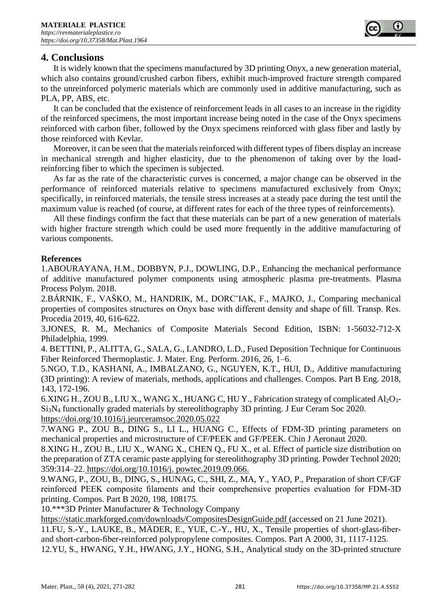

# **4. Conclusions**

It is widely known that the specimens manufactured by 3D printing Onyx, a new generation material, which also contains ground/crushed carbon fibers, exhibit much-improved fracture strength compared to the unreinforced polymeric materials which are commonly used in additive manufacturing, such as PLA, PP, ABS, etc.

It can be concluded that the existence of reinforcement leads in all cases to an increase in the rigidity of the reinforced specimens, the most important increase being noted in the case of the Onyx specimens reinforced with carbon fiber, followed by the Onyx specimens reinforced with glass fiber and lastly by those reinforced with Kevlar.

Moreover, it can be seen that the materials reinforced with different types of fibers display an increase in mechanical strength and higher elasticity, due to the phenomenon of taking over by the loadreinforcing fiber to which the specimen is subjected.

As far as the rate of the characteristic curves is concerned, a major change can be observed in the performance of reinforced materials relative to specimens manufactured exclusively from Onyx; specifically, in reinforced materials, the tensile stress increases at a steady pace during the test until the maximum value is reached (of course, at different rates for each of the three types of reinforcements).

All these findings confirm the fact that these materials can be part of a new generation of materials with higher fracture strength which could be used more frequently in the additive manufacturing of various components.

## **References**

1.ABOURAYANA, H.M., DOBBYN, P.J., DOWLING, D.P., Enhancing the mechanical performance of additive manufactured polymer components using atmospheric plasma pre-treatments. Plasma Process Polym. 2018.

2.BÁRNIK, F., VAŠKO, M., HANDRIK, M., DORCˇIAK, F., MAJKO, J., Comparing mechanical properties of composites structures on Onyx base with different density and shape of fill. Transp. Res. Procedia 2019, 40, 616-622.

3.JONES, R. M., Mechanics of Composite Materials Second Edition, ISBN: 1-56032-712-X Philadelphia, 1999.

4. BETTINI, P., ALITTA, G., SALA, G., LANDRO, L.D., Fused Deposition Technique for Continuous Fiber Reinforced Thermoplastic. J. Mater. Eng. Perform. 2016, 26, 1–6.

5.NGO, T.D., KASHANI, A., IMBALZANO, G., NGUYEN, K.T., HUI, D., Additive manufacturing (3D printing): A review of materials, methods, applications and challenges. Compos. Part B Eng. 2018, 143, 172-196.

6.XING H., ZOU B., LIU X., WANG X., HUANG C, HU Y., Fabrication strategy of complicated Al<sub>2</sub>O<sub>3</sub>-Si3N<sup>4</sup> functionally graded materials by stereolithography 3D printing. J Eur Ceram Soc 2020. <https://doi.org/10.1016/j.jeurceramsoc.2020.05.022>

7.WANG P., ZOU B., DING S., LI L., HUANG C., Effects of FDM-3D printing parameters on mechanical properties and microstructure of CF/PEEK and GF/PEEK. Chin J Aeronaut 2020.

8.XING H., ZOU B., LIU X., WANG X., CHEN Q., FU X., et al. Effect of particle size distribution on the preparation of ZTA ceramic paste applying for stereolithography 3D printing. Powder Technol 2020; 359:314–22. https://doi.org/10.1016/j. powtec.2019.09.066.

9.WANG, P., ZOU, B., DING, S., HUNAG, C., SHI, Z., MA, Y., YAO, P., Preparation of short CF/GF reinforced PEEK composite filaments and their comprehensive properties evaluation for FDM-3D printing. Compos. Part B 2020, 198, 108175.

10.\*\*\*3D Printer Manufacturer & Technology Company

https://static.markforged.com/downloads/CompositesDesignGuide.pdf (accessed on 21 June 2021).

11.FU, S.-Y., LAUKE, B., MÄDER, E., YUE, C.-Y., HU, X., Tensile properties of short-glass-fiberand short-carbon-fiber-reinforced polypropylene composites. Compos. Part A 2000, 31, 1117-1125.

12.YU, S., HWANG, Y.H., HWANG, J.Y., HONG, S.H., Analytical study on the 3D-printed structure